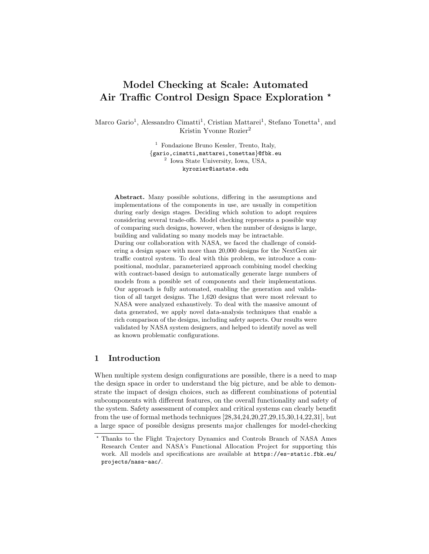# Model Checking at Scale: Automated Air Traffic Control Design Space Exploration \*

Marco Gario<sup>1</sup>, Alessandro Cimatti<sup>1</sup>, Cristian Mattarei<sup>1</sup>, Stefano Tonetta<sup>1</sup>, and Kristin Yvonne Rozier<sup>2</sup>

> <sup>1</sup> Fondazione Bruno Kessler, Trento, Italy, {gario,cimatti,mattarei,tonettas}@fbk.eu 2 Iowa State University, Iowa, USA, kyrozier@iastate.edu

Abstract. Many possible solutions, differing in the assumptions and implementations of the components in use, are usually in competition during early design stages. Deciding which solution to adopt requires considering several trade-offs. Model checking represents a possible way of comparing such designs, however, when the number of designs is large, building and validating so many models may be intractable. During our collaboration with NASA, we faced the challenge of considering a design space with more than 20,000 designs for the NextGen air traffic control system. To deal with this problem, we introduce a compositional, modular, parameterized approach combining model checking

with contract-based design to automatically generate large numbers of models from a possible set of components and their implementations. Our approach is fully automated, enabling the generation and validation of all target designs. The 1,620 designs that were most relevant to NASA were analyzed exhaustively. To deal with the massive amount of data generated, we apply novel data-analysis techniques that enable a rich comparison of the designs, including safety aspects. Our results were validated by NASA system designers, and helped to identify novel as well as known problematic configurations.

### 1 Introduction

When multiple system design configurations are possible, there is a need to map the design space in order to understand the big picture, and be able to demonstrate the impact of design choices, such as different combinations of potential subcomponents with different features, on the overall functionality and safety of the system. Safety assessment of complex and critical systems can clearly benefit from the use of formal methods techniques [\[28](#page-18-0)[,34,](#page-18-1)[24,](#page-17-0)[20,](#page-17-1)[27](#page-18-2)[,29,](#page-18-3)[15,](#page-17-2)[30,](#page-18-4)[14,](#page-17-3)[22,](#page-17-4)[31\]](#page-18-5), but a large space of possible designs presents major challenges for model-checking

<sup>?</sup> Thanks to the Flight Trajectory Dynamics and Controls Branch of NASA Ames Research Center and NASA's Functional Allocation Project for supporting this work. All models and specifications are available at [https://es-static.fbk.eu/](https://es-static.fbk.eu/projects/nasa-aac/) [projects/nasa-aac/](https://es-static.fbk.eu/projects/nasa-aac/).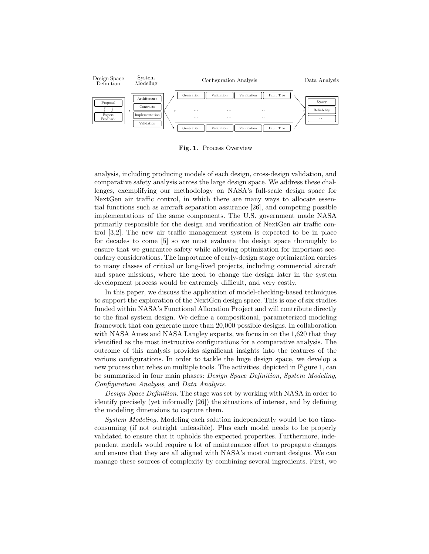

<span id="page-1-0"></span>Fig. 1. Process Overview

analysis, including producing models of each design, cross-design validation, and comparative safety analysis across the large design space. We address these challenges, exemplifying our methodology on NASA's full-scale design space for NextGen air traffic control, in which there are many ways to allocate essential functions such as aircraft separation assurance [\[26\]](#page-18-6), and competing possible implementations of the same components. The U.S. government made NASA primarily responsible for the design and verification of NextGen air traffic control [\[3,](#page-16-0)[2\]](#page-16-1). The new air traffic management system is expected to be in place for decades to come [\[5\]](#page-16-2) so we must evaluate the design space thoroughly to ensure that we guarantee safety while allowing optimization for important secondary considerations. The importance of early-design stage optimization carries to many classes of critical or long-lived projects, including commercial aircraft and space missions, where the need to change the design later in the system development process would be extremely difficult, and very costly.

In this paper, we discuss the application of model-checking-based techniques to support the exploration of the NextGen design space. This is one of six studies funded within NASA's Functional Allocation Project and will contribute directly to the final system design. We define a compositional, parameterized modeling framework that can generate more than 20,000 possible designs. In collaboration with NASA Ames and NASA Langley experts, we focus in on the 1,620 that they identified as the most instructive configurations for a comparative analysis. The outcome of this analysis provides significant insights into the features of the various configurations. In order to tackle the huge design space, we develop a new process that relies on multiple tools. The activities, depicted in Figure [1,](#page-1-0) can be summarized in four main phases: Design Space Definition, System Modeling, Configuration Analysis, and Data Analysis.

Design Space Definition. The stage was set by working with NASA in order to identify precisely (yet informally [\[26\]](#page-18-6)) the situations of interest, and by defining the modeling dimensions to capture them.

System Modeling. Modeling each solution independently would be too timeconsuming (if not outright unfeasible). Plus each model needs to be properly validated to ensure that it upholds the expected properties. Furthermore, independent models would require a lot of maintenance effort to propagate changes and ensure that they are all aligned with NASA's most current designs. We can manage these sources of complexity by combining several ingredients. First, we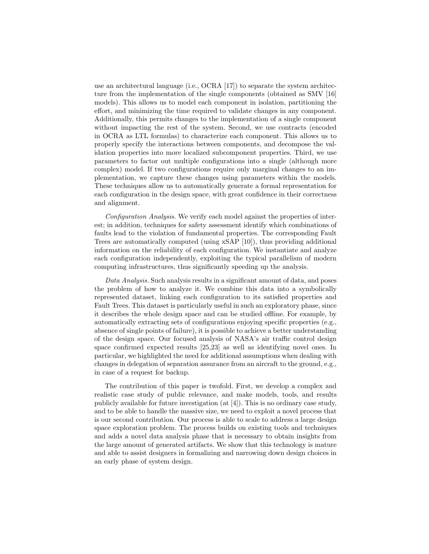use an architectural language (i.e., OCRA [\[17\]](#page-17-5)) to separate the system architecture from the implementation of the single components (obtained as SMV [\[16\]](#page-17-6) models). This allows us to model each component in isolation, partitioning the effort, and minimizing the time required to validate changes in any component. Additionally, this permits changes to the implementation of a single component without impacting the rest of the system. Second, we use contracts (encoded in OCRA as LTL formulas) to characterize each component. This allows us to properly specify the interactions between components, and decompose the validation properties into more localized subcomponent properties. Third, we use parameters to factor out multiple configurations into a single (although more complex) model. If two configurations require only marginal changes to an implementation, we capture these changes using parameters within the models. These techniques allow us to automatically generate a formal representation for each configuration in the design space, with great confidence in their correctness and alignment.

Configuration Analysis. We verify each model against the properties of interest; in addition, techniques for safety assessment identify which combinations of faults lead to the violation of fundamental properties. The corresponding Fault Trees are automatically computed (using xSAP [\[10\]](#page-17-7)), thus providing additional information on the reliability of each configuration. We instantiate and analyze each configuration independently, exploiting the typical parallelism of modern computing infrastructures, thus significantly speeding up the analysis.

Data Analysis. Such analysis results in a significant amount of data, and poses the problem of how to analyze it. We combine this data into a symbolically represented dataset, linking each configuration to its satisfied properties and Fault Trees. This dataset is particularly useful in such an exploratory phase, since it describes the whole design space and can be studied offline. For example, by automatically extracting sets of configurations enjoying specific properties (e.g., absence of single points of failure), it is possible to achieve a better understanding of the design space. Our focused analysis of NASA's air traffic control design space confirmed expected results [\[25,](#page-18-7)[23\]](#page-17-8) as well as identifying novel ones. In particular, we highlighted the need for additional assumptions when dealing with changes in delegation of separation assurance from an aircraft to the ground, e.g., in case of a request for backup.

The contribution of this paper is twofold. First, we develop a complex and realistic case study of public relevance, and make models, tools, and results publicly available for future investigation (at [\[4\]](#page-16-3)). This is no ordinary case study, and to be able to handle the massive size, we need to exploit a novel process that is our second contribution. Our process is able to scale to address a large design space exploration problem. The process builds on existing tools and techniques and adds a novel data analysis phase that is necessary to obtain insights from the large amount of generated artifacts. We show that this technology is mature and able to assist designers in formalizing and narrowing down design choices in an early phase of system design.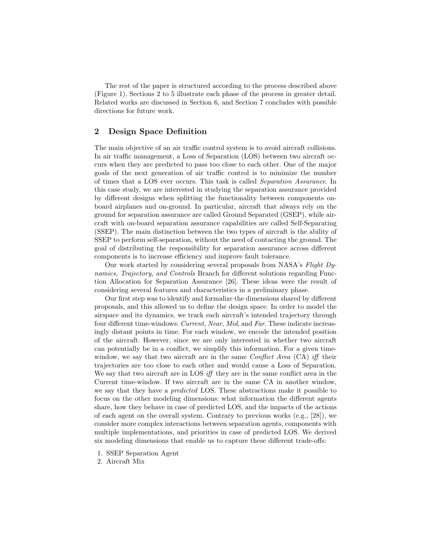The rest of the paper is structured according to the process described above (Figure [1\)](#page-1-0). Sections [2](#page-3-0) to [5](#page-10-0) illustrate each phase of the process in greater detail. Related works are discussed in Section [6,](#page-14-0) and Section [7](#page-16-4) concludes with possible directions for future work.

### <span id="page-3-0"></span>2 Design Space Definition

The main objective of an air traffic control system is to avoid aircraft collisions. In air traffic management, a Loss of Separation (LOS) between two aircraft occurs when they are predicted to pass too close to each other. One of the major goals of the next generation of air traffic control is to minimize the number of times that a LOS ever occurs. This task is called Separation Assurance. In this case study, we are interested in studying the separation assurance provided by different designs when splitting the functionality between components onboard airplanes and on-ground. In particular, aircraft that always rely on the ground for separation assurance are called Ground Separated (GSEP), while aircraft with on-board separation assurance capabilities are called Self-Separating (SSEP). The main distinction between the two types of aircraft is the ability of SSEP to perform self-separation, without the need of contacting the ground. The goal of distributing the responsibility for separation assurance across different components is to increase efficiency and improve fault tolerance.

Our work started by considering several proposals from NASA's Flight Dynamics, Trajectory, and Controls Branch for different solutions regarding Function Allocation for Separation Assurance [\[26\]](#page-18-6). These ideas were the result of considering several features and characteristics in a preliminary phase.

Our first step was to identify and formalize the dimensions shared by different proposals, and this allowed us to define the design space. In order to model the airspace and its dynamics, we track each aircraft's intended trajectory through four different time-windows: Current, Near, Mid, and Far. These indicate increasingly distant points in time. For each window, we encode the intended position of the aircraft. However, since we are only interested in whether two aircraft can potentially be in a conflict, we simplify this information. For a given timewindow, we say that two aircraft are in the same *Conflict Area*  $(CA)$  *iff* their trajectories are too close to each other and would cause a Loss of Separation. We say that two aircraft are in LOS *iff* they are in the same conflict area in the Current time-window. If two aircraft are in the same CA in another window, we say that they have a predicted LOS. These abstractions make it possible to focus on the other modeling dimensions: what information the different agents share, how they behave in case of predicted LOS, and the impacts of the actions of each agent on the overall system. Contrary to previous works (e.g., [\[28\]](#page-18-0)), we consider more complex interactions between separation agents, components with multiple implementations, and priorities in case of predicted LOS. We derived six modeling dimensions that enable us to capture these different trade-offs:

- 1. SSEP Separation Agent
- 2. Aircraft Mix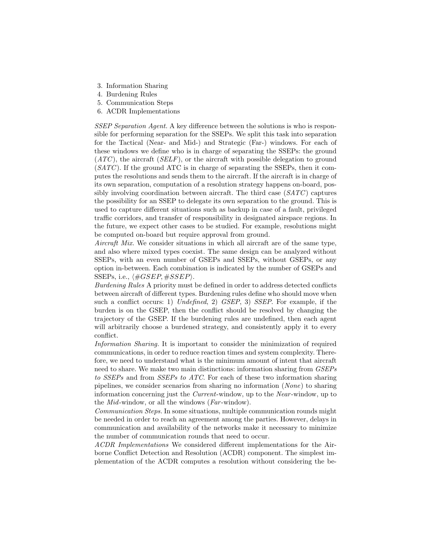- 3. Information Sharing
- 4. Burdening Rules
- 5. Communication Steps
- 6. ACDR Implementations

SSEP Separation Agent. A key difference between the solutions is who is responsible for performing separation for the SSEPs. We split this task into separation for the Tactical (Near- and Mid-) and Strategic (Far-) windows. For each of these windows we define who is in charge of separating the SSEPs: the ground  $(ATC)$ , the aircraft  $(SELF)$ , or the aircraft with possible delegation to ground  $(SATC)$ . If the ground ATC is in charge of separating the SSEPs, then it computes the resolutions and sends them to the aircraft. If the aircraft is in charge of its own separation, computation of a resolution strategy happens on-board, possibly involving coordination between aircraft. The third case  $(SATC)$  captures the possibility for an SSEP to delegate its own separation to the ground. This is used to capture different situations such as backup in case of a fault, privileged traffic corridors, and transfer of responsibility in designated airspace regions. In the future, we expect other cases to be studied. For example, resolutions might be computed on-board but require approval from ground.

Aircraft Mix. We consider situations in which all aircraft are of the same type, and also where mixed types coexist. The same design can be analyzed without SSEPs, with an even number of GSEPs and SSEPs, without GSEPs, or any option in-between. Each combination is indicated by the number of GSEPs and SSEPs, i.e.,  $\langle \#GSEP, \#SSEP \rangle$ .

Burdening Rules A priority must be defined in order to address detected conflicts between aircraft of different types. Burdening rules define who should move when such a conflict occurs: 1) Undefined, 2) GSEP, 3) SSEP. For example, if the burden is on the GSEP, then the conflict should be resolved by changing the trajectory of the GSEP. If the burdening rules are undefined, then each agent will arbitrarily choose a burdened strategy, and consistently apply it to every conflict.

Information Sharing. It is important to consider the minimization of required communications, in order to reduce reaction times and system complexity. Therefore, we need to understand what is the minimum amount of intent that aircraft need to share. We make two main distinctions: information sharing from GSEPs to SSEPs and from SSEPs to ATC. For each of these two information sharing pipelines, we consider scenarios from sharing no information (None) to sharing information concerning just the *Current*-window, up to the *Near*-window, up to the *Mid*-window, or all the windows (*Far*-window).

Communication Steps. In some situations, multiple communication rounds might be needed in order to reach an agreement among the parties. However, delays in communication and availability of the networks make it necessary to minimize the number of communication rounds that need to occur.

ACDR Implementations We considered different implementations for the Airborne Conflict Detection and Resolution (ACDR) component. The simplest implementation of the ACDR computes a resolution without considering the be-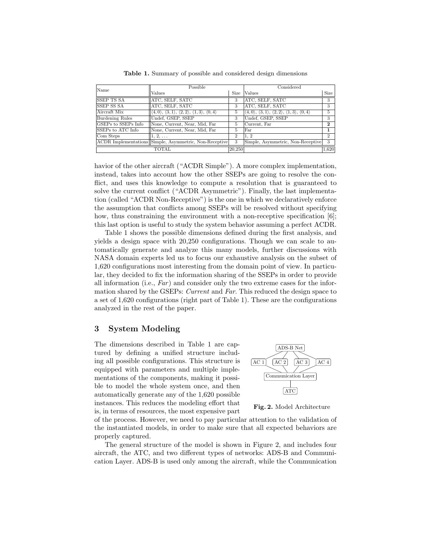| Name                   | Possible                                                                                                              | Considered     |                                                                                                                       |                |
|------------------------|-----------------------------------------------------------------------------------------------------------------------|----------------|-----------------------------------------------------------------------------------------------------------------------|----------------|
|                        | Values                                                                                                                | Size           | Values                                                                                                                | Size           |
| <b>SSEP TS SA</b>      | ATC, SELF, SATC                                                                                                       | 3              | ATC, SELF, SATC                                                                                                       | 3              |
| <b>SSEP SS SA</b>      | ATC, SELF, SATC                                                                                                       | 3              | ATC, SELF, SATC                                                                                                       | 3              |
| Aircraft Mix           | $\langle 4,0 \rangle$ , $\langle 3,1 \rangle$ , $\langle 2,2 \rangle$ , $\langle 1,3 \rangle$ , $\langle 0,4 \rangle$ | 5              | $\langle 4,0 \rangle$ , $\langle 3,1 \rangle$ , $\langle 2,2 \rangle$ , $\langle 1,3 \rangle$ , $\langle 0,4 \rangle$ | 5              |
| <b>Burdening Rules</b> | Undef, GSEP, SSEP                                                                                                     | 3              | Undef, GSEP, SSEP                                                                                                     | 3              |
| GSEPs to SSEPs Info    | None, Current, Near, Mid, Far                                                                                         | 5              | Current, Far                                                                                                          | $\mathbf 2$    |
| SSEPs to ATC Info      | None, Current, Near, Mid, Far                                                                                         | 5              | Far                                                                                                                   |                |
| Com Steps              | $1, 2, \ldots$                                                                                                        | $\overline{2}$ | 1, 2                                                                                                                  | $\overline{2}$ |
|                        | ACDR Implementations Simple, Asymmetric, Non-Receptive                                                                | 3              | Simple, Asymmetric, Non-Receptive                                                                                     | 3              |
|                        | TOTAL                                                                                                                 | 20.250         |                                                                                                                       | 1,620          |

<span id="page-5-0"></span>Table 1. Summary of possible and considered design dimensions

havior of the other aircraft ("ACDR Simple"). A more complex implementation, instead, takes into account how the other SSEPs are going to resolve the conflict, and uses this knowledge to compute a resolution that is guaranteed to solve the current conflict ("ACDR Asymmetric"). Finally, the last implementation (called "ACDR Non-Receptive") is the one in which we declaratively enforce the assumption that conflicts among SSEPs will be resolved without specifying how, thus constraining the environment with a non-receptive specification [\[6\]](#page-17-9); this last option is useful to study the system behavior assuming a perfect ACDR.

Table [1](#page-5-0) shows the possible dimensions defined during the first analysis, and yields a design space with 20,250 configurations. Though we can scale to automatically generate and analyze this many models, further discussions with NASA domain experts led us to focus our exhaustive analysis on the subset of 1,620 configurations most interesting from the domain point of view. In particular, they decided to fix the information sharing of the SSEPs in order to provide all information (i.e.,  $Far$ ) and consider only the two extreme cases for the information shared by the GSEPs: *Current* and *Far*. This reduced the design space to a set of 1,620 configurations (right part of Table [1\)](#page-5-0). These are the configurations analyzed in the rest of the paper.

### 3 System Modeling

The dimensions described in Table [1](#page-5-0) are captured by defining a unified structure including all possible configurations. This structure is equipped with parameters and multiple implementations of the components, making it possible to model the whole system once, and then automatically generate any of the 1,620 possible instances. This reduces the modeling effort that is, in terms of resources, the most expensive part



<span id="page-5-1"></span>Fig. 2. Model Architecture

of the process. However, we need to pay particular attention to the validation of the instantiated models, in order to make sure that all expected behaviors are properly captured.

The general structure of the model is shown in Figure [2,](#page-5-1) and includes four aircraft, the ATC, and two different types of networks: ADS-B and Communication Layer. ADS-B is used only among the aircraft, while the Communication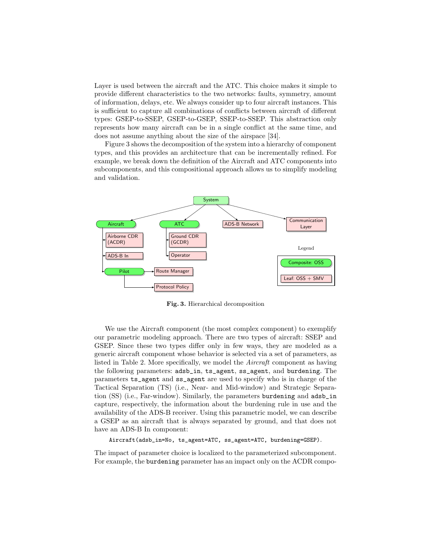Layer is used between the aircraft and the ATC. This choice makes it simple to provide different characteristics to the two networks: faults, symmetry, amount of information, delays, etc. We always consider up to four aircraft instances. This is sufficient to capture all combinations of conflicts between aircraft of different types: GSEP-to-SSEP, GSEP-to-GSEP, SSEP-to-SSEP. This abstraction only represents how many aircraft can be in a single conflict at the same time, and does not assume anything about the size of the airspace [\[34\]](#page-18-1).

Figure [3](#page-6-0) shows the decomposition of the system into a hierarchy of component types, and this provides an architecture that can be incrementally refined. For example, we break down the definition of the Aircraft and ATC components into subcomponents, and this compositional approach allows us to simplify modeling and validation.



<span id="page-6-0"></span>Fig. 3. Hierarchical decomposition

We use the Aircraft component (the most complex component) to exemplify our parametric modeling approach. There are two types of aircraft: SSEP and GSEP. Since these two types differ only in few ways, they are modeled as a generic aircraft component whose behavior is selected via a set of parameters, as listed in Table [2.](#page-7-0) More specifically, we model the Aircraft component as having the following parameters: adsb\_in, ts\_agent, ss\_agent, and burdening. The parameters ts\_agent and ss\_agent are used to specify who is in charge of the Tactical Separation (TS) (i.e., Near- and Mid-window) and Strategic Separation (SS) (i.e., Far-window). Similarly, the parameters burdening and adsb\_in capture, respectively, the information about the burdening rule in use and the availability of the ADS-B receiver. Using this parametric model, we can describe a GSEP as an aircraft that is always separated by ground, and that does not have an ADS-B In component:

Aircraft(adsb\_in=No, ts\_agent=ATC, ss\_agent=ATC, burdening=GSEP).

The impact of parameter choice is localized to the parameterized subcomponent. For example, the burdening parameter has an impact only on the ACDR compo-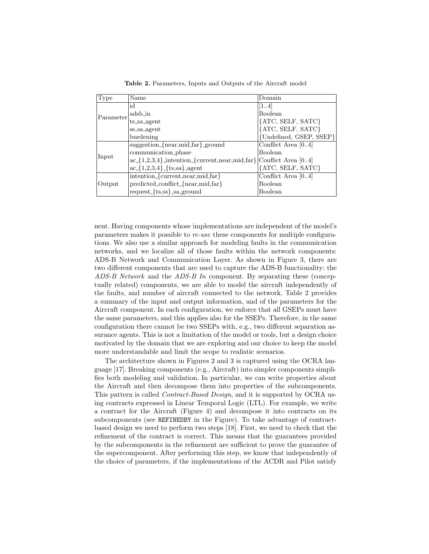| Type      | Name                                                                                                                  | Domain                  |
|-----------|-----------------------------------------------------------------------------------------------------------------------|-------------------------|
| Parameter | id                                                                                                                    | 14                      |
|           | adsb_in                                                                                                               | Boolean                 |
|           | $ts$ _sa_agent                                                                                                        | {ATC, SELF, SATC}       |
|           | ss_sa_agent                                                                                                           | {ATC, SELF, SATC}       |
|           | burdening                                                                                                             | {Undefined, GSEP, SSEP} |
| Input     | suggestion_{near,mid,far}_ground                                                                                      | Conflict Area [04]      |
|           | communication_phase                                                                                                   | <b>Boolean</b>          |
|           | $\lceil \operatorname{ac}\nolimits_{1}(1, 2, 3, 4) \rceil$ intention { current, near, mid, far }   Conflict Area [04] |                         |
|           | $ac_{1,2,3,4}$ {ts,sa} agent                                                                                          | {ATC, SELF, SATC}       |
| Output    | intention_{current, near, mid, far}                                                                                   | Conflict Area $[04]$    |
|           | predicted_conflict_{near,mid,far}                                                                                     | Boolean                 |
|           | request_{ts,ss}_sa_ground                                                                                             | Boolean                 |

<span id="page-7-0"></span>Table 2. Parameters, Inputs and Outputs of the Aircraft model

nent. Having components whose implementations are independent of the model's parameters makes it possible to re-use these components for multiple configurations. We also use a similar approach for modeling faults in the communication networks, and we localize all of those faults within the network components: ADS-B Network and Communication Layer. As shown in Figure [3,](#page-6-0) there are two different components that are used to capture the ADS-B functionality: the ADS-B Network and the ADS-B In component. By separating these (conceptually related) components, we are able to model the aircraft independently of the faults, and number of aircraft connected to the network. Table [2](#page-7-0) provides a summary of the input and output information, and of the parameters for the Aircraft component. In each configuration, we enforce that all GSEPs must have the same parameters, and this applies also for the SSEPs. Therefore, in the same configuration there cannot be two SSEPs with, e.g., two different separation assurance agents. This is not a limitation of the model or tools, but a design choice motivated by the domain that we are exploring and our choice to keep the model more understandable and limit the scope to realistic scenarios.

The architecture shown in Figures [2](#page-5-1) and [3](#page-6-0) is captured using the OCRA language [\[17\]](#page-17-5). Breaking components (e.g., Aircraft) into simpler components simplifies both modeling and validation. In particular, we can write properties about the Aircraft and then decompose them into properties of the subcomponents. This pattern is called Contract-Based Design, and it is supported by OCRA using contracts expressed in Linear Temporal Logic (LTL). For example, we write a contract for the Aircraft (Figure [4\)](#page-8-0) and decompose it into contracts on its subcomponents (see REFINEDBY in the Figure). To take advantage of contractbased design we need to perform two steps [\[18\]](#page-17-10). First, we need to check that the refinement of the contract is correct. This means that the guarantees provided by the subcomponents in the refinement are sufficient to prove the guarantee of the supercomponent. After performing this step, we know that independently of the choice of parameters, if the implementations of the ACDR and Pilot satisfy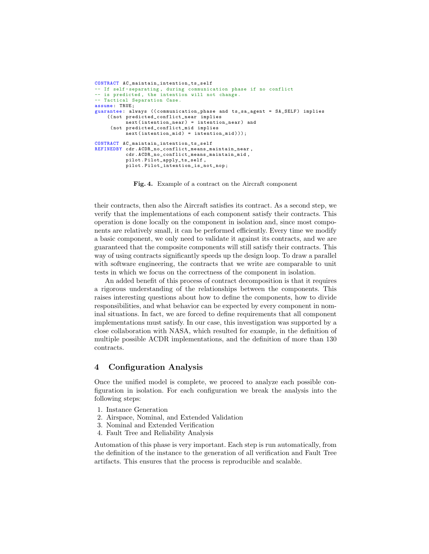```
CONTRACT AC_maintain_intention_ts_self
-- If self-separating, during communication phase if no conflict<br>-- is predicted, the intention will not change.
-- Tactical Separation Case .
assume : TRUE ;
guarantee : always (( communication_phase and ts_sa_agent = SA_SELF ) implies
    (( not predicted_conflict_near implies
           next(intention_near) = intention_near) and
     ( not predicted_conflict_mid implies
           next ( intention_mid ) = intention_mid ) ));
CONTRACT AC_maintain_intention_ts_self
REFINEDBY cdr . ACDR_no_conflict_means_maintain_near ,
           cdr . ACDR_no_conflict_means_maintain_mid ,
           pilot . Pilot_apply_ts_self ,
           pilot . Pilot_intention_is_not_nop ;
```
<span id="page-8-0"></span>Fig. 4. Example of a contract on the Aircraft component

their contracts, then also the Aircraft satisfies its contract. As a second step, we verify that the implementations of each component satisfy their contracts. This operation is done locally on the component in isolation and, since most components are relatively small, it can be performed efficiently. Every time we modify a basic component, we only need to validate it against its contracts, and we are guaranteed that the composite components will still satisfy their contracts. This way of using contracts significantly speeds up the design loop. To draw a parallel with software engineering, the contracts that we write are comparable to unit tests in which we focus on the correctness of the component in isolation.

An added benefit of this process of contract decomposition is that it requires a rigorous understanding of the relationships between the components. This raises interesting questions about how to define the components, how to divide responsibilities, and what behavior can be expected by every component in nominal situations. In fact, we are forced to define requirements that all component implementations must satisfy. In our case, this investigation was supported by a close collaboration with NASA, which resulted for example, in the definition of multiple possible ACDR implementations, and the definition of more than 130 contracts.

### 4 Configuration Analysis

Once the unified model is complete, we proceed to analyze each possible configuration in isolation. For each configuration we break the analysis into the following steps:

- 1. Instance Generation
- 2. Airspace, Nominal, and Extended Validation
- 3. Nominal and Extended Verification
- 4. Fault Tree and Reliability Analysis

Automation of this phase is very important. Each step is run automatically, from the definition of the instance to the generation of all verification and Fault Tree artifacts. This ensures that the process is reproducible and scalable.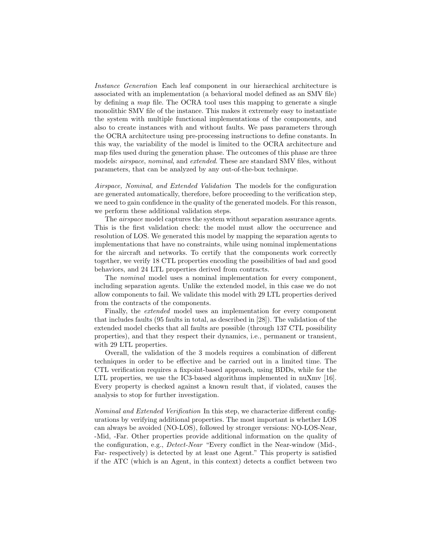Instance Generation Each leaf component in our hierarchical architecture is associated with an implementation (a behavioral model defined as an SMV file) by defining a map file. The OCRA tool uses this mapping to generate a single monolithic SMV file of the instance. This makes it extremely easy to instantiate the system with multiple functional implementations of the components, and also to create instances with and without faults. We pass parameters through the OCRA architecture using pre-processing instructions to define constants. In this way, the variability of the model is limited to the OCRA architecture and map files used during the generation phase. The outcomes of this phase are three models: airspace, nominal, and extended. These are standard SMV files, without parameters, that can be analyzed by any out-of-the-box technique.

Airspace, Nominal, and Extended Validation The models for the configuration are generated automatically, therefore, before proceeding to the verification step, we need to gain confidence in the quality of the generated models. For this reason, we perform these additional validation steps.

The airspace model captures the system without separation assurance agents. This is the first validation check: the model must allow the occurrence and resolution of LOS. We generated this model by mapping the separation agents to implementations that have no constraints, while using nominal implementations for the aircraft and networks. To certify that the components work correctly together, we verify 18 CTL properties encoding the possibilities of bad and good behaviors, and 24 LTL properties derived from contracts.

The nominal model uses a nominal implementation for every component, including separation agents. Unlike the extended model, in this case we do not allow components to fail. We validate this model with 29 LTL properties derived from the contracts of the components.

Finally, the extended model uses an implementation for every component that includes faults (95 faults in total, as described in [\[28\]](#page-18-0)). The validation of the extended model checks that all faults are possible (through 137 CTL possibility properties), and that they respect their dynamics, i.e., permanent or transient, with 29 LTL properties.

Overall, the validation of the 3 models requires a combination of different techniques in order to be effective and be carried out in a limited time. The CTL verification requires a fixpoint-based approach, using BDDs, while for the LTL properties, we use the IC3-based algorithms implemented in nuXmv [\[16\]](#page-17-6). Every property is checked against a known result that, if violated, causes the analysis to stop for further investigation.

Nominal and Extended Verification In this step, we characterize different configurations by verifying additional properties. The most important is whether LOS can always be avoided (NO-LOS), followed by stronger versions: NO-LOS-Near, -Mid, -Far. Other properties provide additional information on the quality of the configuration, e.g., Detect-Near "Every conflict in the Near-window (Mid-, Far- respectively) is detected by at least one Agent." This property is satisfied if the ATC (which is an Agent, in this context) detects a conflict between two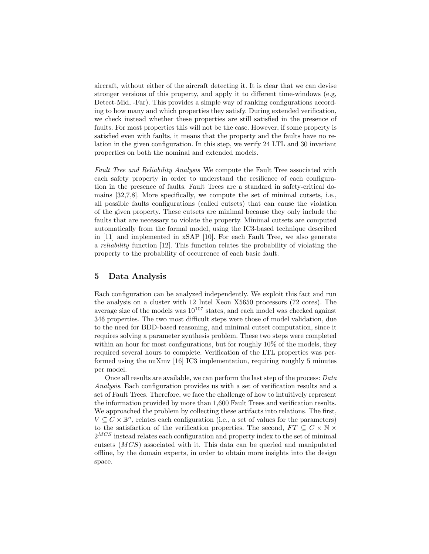aircraft, without either of the aircraft detecting it. It is clear that we can devise stronger versions of this property, and apply it to different time-windows (e.g, Detect-Mid, -Far). This provides a simple way of ranking configurations according to how many and which properties they satisfy. During extended verification, we check instead whether these properties are still satisfied in the presence of faults. For most properties this will not be the case. However, if some property is satisfied even with faults, it means that the property and the faults have no relation in the given configuration. In this step, we verify 24 LTL and 30 invariant properties on both the nominal and extended models.

Fault Tree and Reliability Analysis We compute the Fault Tree associated with each safety property in order to understand the resilience of each configuration in the presence of faults. Fault Trees are a standard in safety-critical domains [\[32](#page-18-8)[,7](#page-17-11)[,8\]](#page-17-12). More specifically, we compute the set of minimal cutsets, i.e., all possible faults configurations (called cutsets) that can cause the violation of the given property. These cutsets are minimal because they only include the faults that are necessary to violate the property. Minimal cutsets are computed automatically from the formal model, using the IC3-based technique described in [\[11\]](#page-17-13) and implemented in xSAP [\[10\]](#page-17-7). For each Fault Tree, we also generate a reliability function [\[12\]](#page-17-14). This function relates the probability of violating the property to the probability of occurrence of each basic fault.

### <span id="page-10-0"></span>5 Data Analysis

Each configuration can be analyzed independently. We exploit this fact and run the analysis on a cluster with 12 Intel Xeon X5650 processors (72 cores). The average size of the models was  $10^{107}$  states, and each model was checked against 346 properties. The two most difficult steps were those of model validation, due to the need for BDD-based reasoning, and minimal cutset computation, since it requires solving a parameter synthesis problem. These two steps were completed within an hour for most configurations, but for roughly  $10\%$  of the models, they required several hours to complete. Verification of the LTL properties was performed using the nuXmv [\[16\]](#page-17-6) IC3 implementation, requiring roughly 5 minutes per model.

Once all results are available, we can perform the last step of the process: Data Analysis. Each configuration provides us with a set of verification results and a set of Fault Trees. Therefore, we face the challenge of how to intuitively represent the information provided by more than 1,600 Fault Trees and verification results. We approached the problem by collecting these artifacts into relations. The first,  $V \subseteq C \times \mathbb{B}^n$ , relates each configuration (i.e., a set of values for the parameters) to the satisfaction of the verification properties. The second,  $FT \subseteq C \times N \times$  $2^{MCS}$  instead relates each configuration and property index to the set of minimal cutsets (MCS) associated with it. This data can be queried and manipulated offline, by the domain experts, in order to obtain more insights into the design space.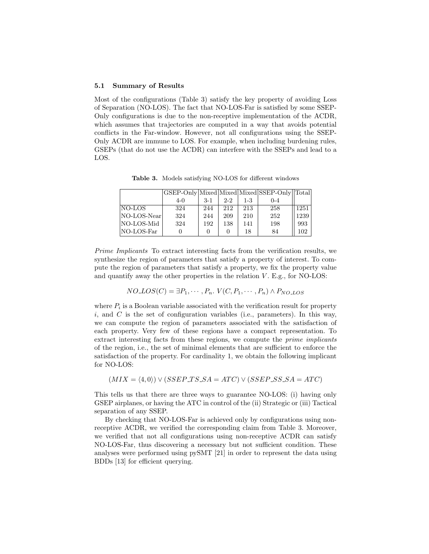#### 5.1 Summary of Results

Most of the configurations (Table [3\)](#page-11-0) satisfy the key property of avoiding Loss of Separation (NO-LOS). The fact that NO-LOS-Far is satisfied by some SSEP-Only configurations is due to the non-receptive implementation of the ACDR, which assumes that trajectories are computed in a way that avoids potential conflicts in the Far-window. However, not all configurations using the SSEP-Only ACDR are immune to LOS. For example, when including burdening rules, GSEPs (that do not use the ACDR) can interfere with the SSEPs and lead to a LOS.

<span id="page-11-0"></span>Table 3. Models satisfying NO-LOS for different windows

|             | GSEP-Only Mixed Mixed Mixed SSEP-Only  Total |       |              |         |         |      |
|-------------|----------------------------------------------|-------|--------------|---------|---------|------|
|             | $4-0$                                        | $3-1$ | $2-2$        | $1 - 3$ | $0 - 4$ |      |
| NO-LOS      | 324                                          | 244   | 212          | 213     | 258     | 1251 |
| NO-LOS-Near | 324                                          | 244   | 209          | 210     | 252     | 1239 |
| NO-LOS-Mid  | 324                                          | 192   | 138          | 141     | 198     | 993  |
| NO-LOS-Far  |                                              |       | $\mathbf{0}$ | 18      | 84      | 102  |

Prime Implicants To extract interesting facts from the verification results, we synthesize the region of parameters that satisfy a property of interest. To compute the region of parameters that satisfy a property, we fix the property value and quantify away the other properties in the relation  $V$ . E.g., for NO-LOS:

$$
NO\_{LOS}(C) = \exists P_1, \cdots, P_n. \ V(C, P_1, \cdots, P_n) \land P_{NO\_{LOS}}
$$

where  $P_i$  is a Boolean variable associated with the verification result for property  $i$ , and  $C$  is the set of configuration variables (i.e., parameters). In this way, we can compute the region of parameters associated with the satisfaction of each property. Very few of these regions have a compact representation. To extract interesting facts from these regions, we compute the prime implicants of the region, i.e., the set of minimal elements that are sufficient to enforce the satisfaction of the property. For cardinality 1, we obtain the following implicant for NO-LOS:

$$
(MIX = \langle 4, 0 \rangle) \vee (SSEP_TSS_A = ATC) \vee (SSEP_SSS_A = ATC)
$$

This tells us that there are three ways to guarantee NO-LOS: (i) having only GSEP airplanes, or having the ATC in control of the (ii) Strategic or (iii) Tactical separation of any SSEP.

By checking that NO-LOS-Far is achieved only by configurations using nonreceptive ACDR, we verified the corresponding claim from Table [3.](#page-11-0) Moreover, we verified that not all configurations using non-receptive ACDR can satisfy NO-LOS-Far, thus discovering a necessary but not sufficient condition. These analyses were performed using pySMT [\[21\]](#page-17-15) in order to represent the data using BDDs [\[13\]](#page-17-16) for efficient querying.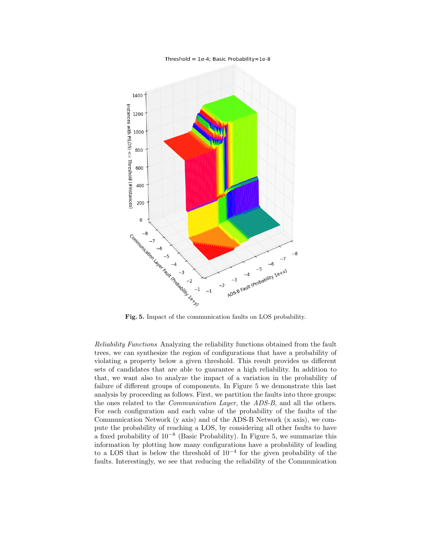



<span id="page-12-0"></span>

Reliability Functions Analyzing the reliability functions obtained from the fault trees, we can synthesize the region of configurations that have a probability of violating a property below a given threshold. This result provides us different sets of candidates that are able to guarantee a high reliability. In addition to that, we want also to analyze the impact of a variation in the probability of failure of different groups of components. In Figure [5](#page-12-0) we demonstrate this last analysis by proceeding as follows. First, we partition the faults into three groups: the ones related to the Communication Layer, the ADS-B, and all the others. For each configuration and each value of the probability of the faults of the Communication Network (y axis) and of the ADS-B Network (x axis), we compute the probability of reaching a LOS, by considering all other faults to have a fixed probability of 10<sup>−</sup><sup>8</sup> (Basic Probability). In Figure [5,](#page-12-0) we summarize this information by plotting how many configurations have a probability of leading to a LOS that is below the threshold of 10<sup>−</sup><sup>4</sup> for the given probability of the faults. Interestingly, we see that reducing the reliability of the Communication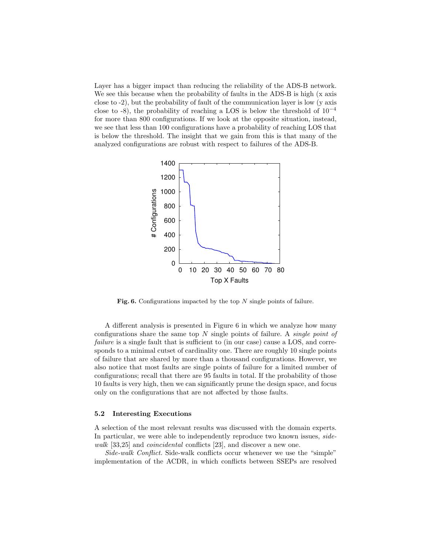Layer has a bigger impact than reducing the reliability of the ADS-B network. We see this because when the probability of faults in the ADS-B is high (x axis close to -2), but the probability of fault of the communication layer is low (y axis close to -8), the probability of reaching a LOS is below the threshold of  $10^{-4}$ for more than 800 configurations. If we look at the opposite situation, instead, we see that less than 100 configurations have a probability of reaching LOS that is below the threshold. The insight that we gain from this is that many of the analyzed configurations are robust with respect to failures of the ADS-B.



<span id="page-13-0"></span>Fig. 6. Configurations impacted by the top  $N$  single points of failure.

A different analysis is presented in Figure [6](#page-13-0) in which we analyze how many configurations share the same top  $N$  single points of failure. A *single point of* failure is a single fault that is sufficient to (in our case) cause a LOS, and corresponds to a minimal cutset of cardinality one. There are roughly 10 single points of failure that are shared by more than a thousand configurations. However, we also notice that most faults are single points of failure for a limited number of configurations; recall that there are 95 faults in total. If the probability of those 10 faults is very high, then we can significantly prune the design space, and focus only on the configurations that are not affected by those faults.

#### 5.2 Interesting Executions

A selection of the most relevant results was discussed with the domain experts. In particular, we were able to independently reproduce two known issues, side-walk [\[33](#page-18-9)[,25\]](#page-18-7) and *coincidental* conflicts [\[23\]](#page-17-8), and discover a new one.

Side-walk Conflict. Side-walk conflicts occur whenever we use the "simple" implementation of the ACDR, in which conflicts between SSEPs are resolved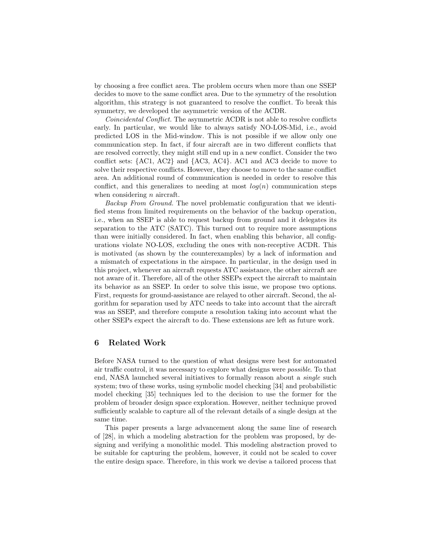by choosing a free conflict area. The problem occurs when more than one SSEP decides to move to the same conflict area. Due to the symmetry of the resolution algorithm, this strategy is not guaranteed to resolve the conflict. To break this symmetry, we developed the asymmetric version of the ACDR.

Coincidental Conflict. The asymmetric ACDR is not able to resolve conflicts early. In particular, we would like to always satisfy NO-LOS-Mid, i.e., avoid predicted LOS in the Mid-window. This is not possible if we allow only one communication step. In fact, if four aircraft are in two different conflicts that are resolved correctly, they might still end up in a new conflict. Consider the two conflict sets: {AC1, AC2} and {AC3, AC4}. AC1 and AC3 decide to move to solve their respective conflicts. However, they choose to move to the same conflict area. An additional round of communication is needed in order to resolve this conflict, and this generalizes to needing at most  $log(n)$  communication steps when considering  $n$  aircraft.

Backup From Ground. The novel problematic configuration that we identified stems from limited requirements on the behavior of the backup operation, i.e., when an SSEP is able to request backup from ground and it delegates its separation to the ATC (SATC). This turned out to require more assumptions than were initially considered. In fact, when enabling this behavior, all configurations violate NO-LOS, excluding the ones with non-receptive ACDR. This is motivated (as shown by the counterexamples) by a lack of information and a mismatch of expectations in the airspace. In particular, in the design used in this project, whenever an aircraft requests ATC assistance, the other aircraft are not aware of it. Therefore, all of the other SSEPs expect the aircraft to maintain its behavior as an SSEP. In order to solve this issue, we propose two options. First, requests for ground-assistance are relayed to other aircraft. Second, the algorithm for separation used by ATC needs to take into account that the aircraft was an SSEP, and therefore compute a resolution taking into account what the other SSEPs expect the aircraft to do. These extensions are left as future work.

### <span id="page-14-0"></span>6 Related Work

Before NASA turned to the question of what designs were best for automated air traffic control, it was necessary to explore what designs were possible. To that end, NASA launched several initiatives to formally reason about a single such system; two of these works, using symbolic model checking [\[34\]](#page-18-1) and probabilistic model checking [\[35\]](#page-18-10) techniques led to the decision to use the former for the problem of broader design space exploration. However, neither technique proved sufficiently scalable to capture all of the relevant details of a single design at the same time.

This paper presents a large advancement along the same line of research of [\[28\]](#page-18-0), in which a modeling abstraction for the problem was proposed, by designing and verifying a monolithic model. This modeling abstraction proved to be suitable for capturing the problem, however, it could not be scaled to cover the entire design space. Therefore, in this work we devise a tailored process that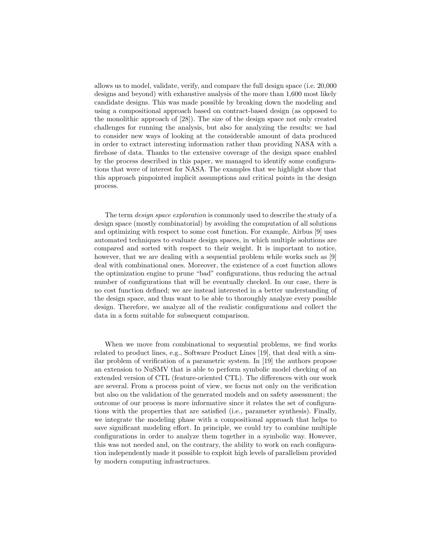allows us to model, validate, verify, and compare the full design space (i.e. 20,000 designs and beyond) with exhaustive analysis of the more than 1,600 most likely candidate designs. This was made possible by breaking down the modeling and using a compositional approach based on contract-based design (as opposed to the monolithic approach of [\[28\]](#page-18-0)). The size of the design space not only created challenges for running the analysis, but also for analyzing the results: we had to consider new ways of looking at the considerable amount of data produced in order to extract interesting information rather than providing NASA with a firehose of data. Thanks to the extensive coverage of the design space enabled by the process described in this paper, we managed to identify some configurations that were of interest for NASA. The examples that we highlight show that this approach pinpointed implicit assumptions and critical points in the design process.

The term design space exploration is commonly used to describe the study of a design space (mostly combinatorial) by avoiding the computation of all solutions and optimizing with respect to some cost function. For example, Airbus [\[9\]](#page-17-17) uses automated techniques to evaluate design spaces, in which multiple solutions are compared and sorted with respect to their weight. It is important to notice, however, that we are dealing with a sequential problem while works such as [\[9\]](#page-17-17) deal with combinational ones. Moreover, the existence of a cost function allows the optimization engine to prune "bad" configurations, thus reducing the actual number of configurations that will be eventually checked. In our case, there is no cost function defined; we are instead interested in a better understanding of the design space, and thus want to be able to thoroughly analyze every possible design. Therefore, we analyze all of the realistic configurations and collect the data in a form suitable for subsequent comparison.

When we move from combinational to sequential problems, we find works related to product lines, e.g., Software Product Lines [\[19\]](#page-17-18), that deal with a similar problem of verification of a parametric system. In [\[19\]](#page-17-18) the authors propose an extension to NuSMV that is able to perform symbolic model checking of an extended version of CTL (feature-oriented CTL). The differences with our work are several. From a process point of view, we focus not only on the verification but also on the validation of the generated models and on safety assessment; the outcome of our process is more informative since it relates the set of configurations with the properties that are satisfied (i.e., parameter synthesis). Finally, we integrate the modeling phase with a compositional approach that helps to save significant modeling effort. In principle, we could try to combine multiple configurations in order to analyze them together in a symbolic way. However, this was not needed and, on the contrary, the ability to work on each configuration independently made it possible to exploit high levels of parallelism provided by modern computing infrastructures.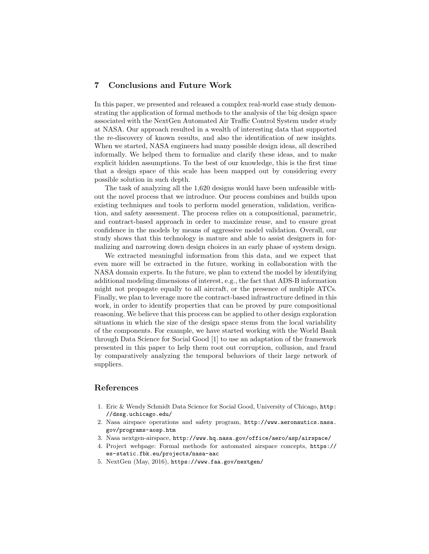# <span id="page-16-4"></span>7 Conclusions and Future Work

In this paper, we presented and released a complex real-world case study demonstrating the application of formal methods to the analysis of the big design space associated with the NextGen Automated Air Traffic Control System under study at NASA. Our approach resulted in a wealth of interesting data that supported the re-discovery of known results, and also the identification of new insights. When we started, NASA engineers had many possible design ideas, all described informally. We helped them to formalize and clarify these ideas, and to make explicit hidden assumptions. To the best of our knowledge, this is the first time that a design space of this scale has been mapped out by considering every possible solution in such depth.

The task of analyzing all the 1,620 designs would have been unfeasible without the novel process that we introduce. Our process combines and builds upon existing techniques and tools to perform model generation, validation, verification, and safety assessment. The process relies on a compositional, parametric, and contract-based approach in order to maximize reuse, and to ensure great confidence in the models by means of aggressive model validation. Overall, our study shows that this technology is mature and able to assist designers in formalizing and narrowing down design choices in an early phase of system design.

We extracted meaningful information from this data, and we expect that even more will be extracted in the future, working in collaboration with the NASA domain experts. In the future, we plan to extend the model by identifying additional modeling dimensions of interest, e.g., the fact that ADS-B information might not propagate equally to all aircraft, or the presence of multiple ATCs. Finally, we plan to leverage more the contract-based infrastructure defined in this work, in order to identify properties that can be proved by pure compositional reasoning. We believe that this process can be applied to other design exploration situations in which the size of the design space stems from the local variability of the components. For example, we have started working with the World Bank through Data Science for Social Good [\[1\]](#page-16-5) to use an adaptation of the framework presented in this paper to help them root out corruption, collusion, and fraud by comparatively analyzing the temporal behaviors of their large network of suppliers.

# References

- <span id="page-16-5"></span>1. Eric & Wendy Schmidt Data Science for Social Good, University of Chicago, [http:](http://dssg.uchicago.edu/) [//dssg.uchicago.edu/](http://dssg.uchicago.edu/)
- <span id="page-16-1"></span>2. Nasa airspace operations and safety program, [http://www.aeronautics.nasa.](http://www.aeronautics.nasa.gov/programs-aosp.htm) [gov/programs-aosp.htm](http://www.aeronautics.nasa.gov/programs-aosp.htm)
- <span id="page-16-0"></span>3. Nasa nextgen-airspace, <http://www.hq.nasa.gov/office/aero/asp/airspace/>
- <span id="page-16-3"></span>4. Project webpage: Formal methods for automated airspace concepts, [https://](https://es-static.fbk.eu/projects/nasa-aac) [es-static.fbk.eu/projects/nasa-aac](https://es-static.fbk.eu/projects/nasa-aac)
- <span id="page-16-2"></span>5. NextGen (May, 2016), <https://www.faa.gov/nextgen/>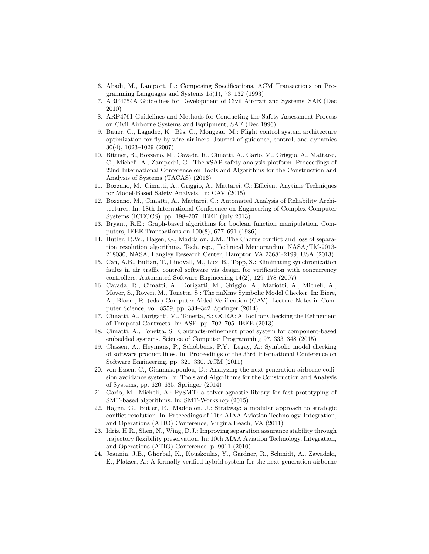- <span id="page-17-9"></span>6. Abadi, M., Lamport, L.: Composing Specifications. ACM Transactions on Programming Languages and Systems 15(1), 73–132 (1993)
- <span id="page-17-11"></span>7. ARP4754A Guidelines for Development of Civil Aircraft and Systems. SAE (Dec 2010)
- <span id="page-17-12"></span>8. ARP4761 Guidelines and Methods for Conducting the Safety Assessment Process on Civil Airborne Systems and Equipment, SAE (Dec 1996)
- <span id="page-17-17"></span>9. Bauer, C., Lagadec, K., Bès, C., Mongeau, M.: Flight control system architecture optimization for fly-by-wire airliners. Journal of guidance, control, and dynamics 30(4), 1023–1029 (2007)
- <span id="page-17-7"></span>10. Bittner, B., Bozzano, M., Cavada, R., Cimatti, A., Gario, M., Griggio, A., Mattarei, C., Micheli, A., Zampedri, G.: The xSAP safety analysis platform. Proceedings of 22nd International Conference on Tools and Algorithms for the Construction and Analysis of Systems (TACAS) (2016)
- <span id="page-17-13"></span>11. Bozzano, M., Cimatti, A., Griggio, A., Mattarei, C.: Efficient Anytime Techniques for Model-Based Safety Analysis. In: CAV (2015)
- <span id="page-17-14"></span>12. Bozzano, M., Cimatti, A., Mattarei, C.: Automated Analysis of Reliability Architectures. In: 18th International Conference on Engineering of Complex Computer Systems (ICECCS). pp. 198–207. IEEE (july 2013)
- <span id="page-17-16"></span>13. Bryant, R.E.: Graph-based algorithms for boolean function manipulation. Computers, IEEE Transactions on 100(8), 677–691 (1986)
- <span id="page-17-3"></span>14. Butler, R.W., Hagen, G., Maddalon, J.M.: The Chorus conflict and loss of separation resolution algorithms. Tech. rep., Technical Memorandum NASA/TM-2013- 218030, NASA, Langley Research Center, Hampton VA 23681-2199, USA (2013)
- <span id="page-17-2"></span>15. Can, A.B., Bultan, T., Lindvall, M., Lux, B., Topp, S.: Eliminating synchronization faults in air traffic control software via design for verification with concurrency controllers. Automated Software Engineering 14(2), 129–178 (2007)
- <span id="page-17-6"></span>16. Cavada, R., Cimatti, A., Dorigatti, M., Griggio, A., Mariotti, A., Micheli, A., Mover, S., Roveri, M., Tonetta, S.: The nuXmv Symbolic Model Checker. In: Biere, A., Bloem, R. (eds.) Computer Aided Verification (CAV). Lecture Notes in Computer Science, vol. 8559, pp. 334–342. Springer (2014)
- <span id="page-17-5"></span>17. Cimatti, A., Dorigatti, M., Tonetta, S.: OCRA: A Tool for Checking the Refinement of Temporal Contracts. In: ASE. pp. 702–705. IEEE (2013)
- <span id="page-17-10"></span>18. Cimatti, A., Tonetta, S.: Contracts-refinement proof system for component-based embedded systems. Science of Computer Programming 97, 333–348 (2015)
- <span id="page-17-18"></span>19. Classen, A., Heymans, P., Schobbens, P.Y., Legay, A.: Symbolic model checking of software product lines. In: Proceedings of the 33rd International Conference on Software Engineering. pp. 321–330. ACM (2011)
- <span id="page-17-1"></span>20. von Essen, C., Giannakopoulou, D.: Analyzing the next generation airborne collision avoidance system. In: Tools and Algorithms for the Construction and Analysis of Systems, pp. 620–635. Springer (2014)
- <span id="page-17-15"></span>21. Gario, M., Micheli, A.: PySMT: a solver-agnostic library for fast prototyping of SMT-based algorithms. In: SMT-Workshop (2015)
- <span id="page-17-4"></span>22. Hagen, G., Butler, R., Maddalon, J.: Stratway: a modular approach to strategic conflict resolution. In: Preceedings of 11th AIAA Aviation Technology, Integration, and Operations (ATIO) Conference, Virgina Beach, VA (2011)
- <span id="page-17-8"></span>23. Idris, H.R., Shen, N., Wing, D.J.: Improving separation assurance stability through trajectory flexibility preservation. In: 10th AIAA Aviation Technology, Integration, and Operations (ATIO) Conference. p. 9011 (2010)
- <span id="page-17-0"></span>24. Jeannin, J.B., Ghorbal, K., Kouskoulas, Y., Gardner, R., Schmidt, A., Zawadzki, E., Platzer, A.: A formally verified hybrid system for the next-generation airborne